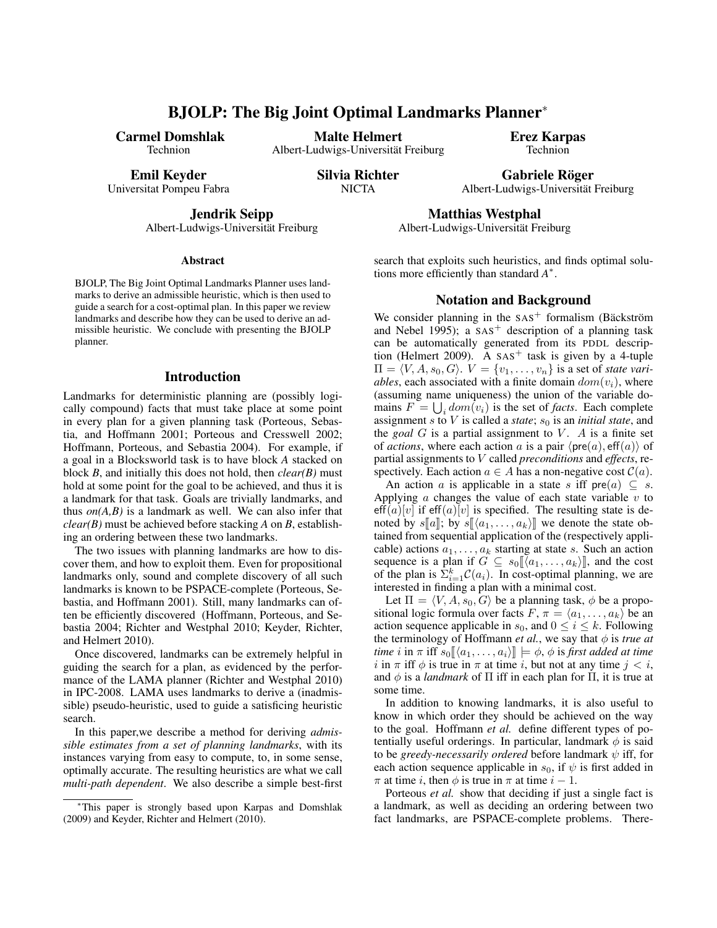# BJOLP: The Big Joint Optimal Landmarks Planner<sup>∗</sup>

Carmel Domshlak Technion

Malte Helmert Albert-Ludwigs-Universitat Freiburg ¨ Erez Karpas Technion

Emil Keyder

Universitat Pompeu Fabra

Silvia Richter **NICTA** 

Gabriele Röger Albert-Ludwigs-Universitat Freiburg ¨

Jendrik Seipp

Albert-Ludwigs-Universität Freiburg

#### Abstract

BJOLP, The Big Joint Optimal Landmarks Planner uses landmarks to derive an admissible heuristic, which is then used to guide a search for a cost-optimal plan. In this paper we review landmarks and describe how they can be used to derive an admissible heuristic. We conclude with presenting the BJOLP planner.

#### Introduction

Landmarks for deterministic planning are (possibly logically compound) facts that must take place at some point in every plan for a given planning task (Porteous, Sebastia, and Hoffmann 2001; Porteous and Cresswell 2002; Hoffmann, Porteous, and Sebastia 2004). For example, if a goal in a Blocksworld task is to have block *A* stacked on block *B*, and initially this does not hold, then *clear(B)* must hold at some point for the goal to be achieved, and thus it is a landmark for that task. Goals are trivially landmarks, and thus  $on(A, B)$  is a landmark as well. We can also infer that *clear(B)* must be achieved before stacking *A* on *B*, establishing an ordering between these two landmarks.

The two issues with planning landmarks are how to discover them, and how to exploit them. Even for propositional landmarks only, sound and complete discovery of all such landmarks is known to be PSPACE-complete (Porteous, Sebastia, and Hoffmann 2001). Still, many landmarks can often be efficiently discovered (Hoffmann, Porteous, and Sebastia 2004; Richter and Westphal 2010; Keyder, Richter, and Helmert 2010).

Once discovered, landmarks can be extremely helpful in guiding the search for a plan, as evidenced by the performance of the LAMA planner (Richter and Westphal 2010) in IPC-2008. LAMA uses landmarks to derive a (inadmissible) pseudo-heuristic, used to guide a satisficing heuristic search.

In this paper,we describe a method for deriving *admissible estimates from a set of planning landmarks*, with its instances varying from easy to compute, to, in some sense, optimally accurate. The resulting heuristics are what we call *multi-path dependent*. We also describe a simple best-first search that exploits such heuristics, and finds optimal solutions more efficiently than standard *A* ∗ .

Matthias Westphal Albert-Ludwigs-Universitat Freiburg ¨

## Notation and Background

We consider planning in the  $SAS<sup>+</sup>$  formalism (Bäckström and Nebel 1995); a  $SAS<sup>+</sup>$  description of a planning task can be automatically generated from its PDDL description (Helmert 2009). A  $SAS<sup>+</sup>$  task is given by a 4-tuple  $\Pi = \langle V, A, s_0, G \rangle$ .  $V = \{v_1, \ldots, v_n\}$  is a set of *state variables*, each associated with a finite domain  $dom(v_i)$ , where (assuming name uniqueness) the union of the variable domains  $F = \bigcup_i dom(v_i)$  is the set of *facts*. Each complete assignment  $s$  to  $V$  is called a *state*;  $s_0$  is an *initial state*, and the *goal*  $G$  is a partial assignment to  $V$ .  $A$  is a finite set of *actions*, where each action a is a pair  $\langle pre(a), eff(a) \rangle$  of partial assignments to V called *preconditions* and *effects*, respectively. Each action  $a \in A$  has a non-negative cost  $C(a)$ .

An action a is applicable in a state s iff  $pre(a) \subseteq s$ . Applying  $\alpha$  changes the value of each state variable  $\nu$  to  $\text{eff}(a)[v]$  if  $\text{eff}(a)[v]$  is specified. The resulting state is denoted by  $s[[a]]$ ; by  $s[[\langle a_1, \ldots, a_k \rangle]]$  we denote the state obtained from sequential application of the (respectively applicable) actions  $a_1, \ldots, a_k$  starting at state s. Such an action sequence is a plan if  $G \subseteq s_0[[a_1, \ldots, a_k)]]$ , and the cost of the plan is  $\sum_{i=1}^{k} C(a_i)$ . In cost-optimal planning, we are interested in finding a plan with a minimal cost.

Let  $\Pi = \langle V, A, s_0, G \rangle$  be a planning task,  $\phi$  be a propositional logic formula over facts  $F, \pi = \langle a_1, \ldots, a_k \rangle$  be an action sequence applicable in  $s_0$ , and  $0 \le i \le k$ . Following the terminology of Hoffmann *et al.*, we say that  $\phi$  is *true at time i* in  $\pi$  iff  $s_0 \llbracket \langle a_1, \ldots, a_i \rangle \rrbracket \models \phi$ ,  $\phi$  is *first added at time* i in  $\pi$  iff  $\phi$  is true in  $\pi$  at time i, but not at any time  $j < i$ , and  $\phi$  is a *landmark* of  $\Pi$  iff in each plan for  $\Pi$ , it is true at some time.

In addition to knowing landmarks, it is also useful to know in which order they should be achieved on the way to the goal. Hoffmann *et al.* define different types of potentially useful orderings. In particular, landmark  $\phi$  is said to be *greedy-necessarily ordered* before landmark  $\psi$  iff, for each action sequence applicable in  $s_0$ , if  $\psi$  is first added in  $\pi$  at time *i*, then  $\phi$  is true in  $\pi$  at time  $i - 1$ .

Porteous *et al.* show that deciding if just a single fact is a landmark, as well as deciding an ordering between two fact landmarks, are PSPACE-complete problems. There-

<sup>∗</sup>This paper is strongly based upon Karpas and Domshlak (2009) and Keyder, Richter and Helmert (2010).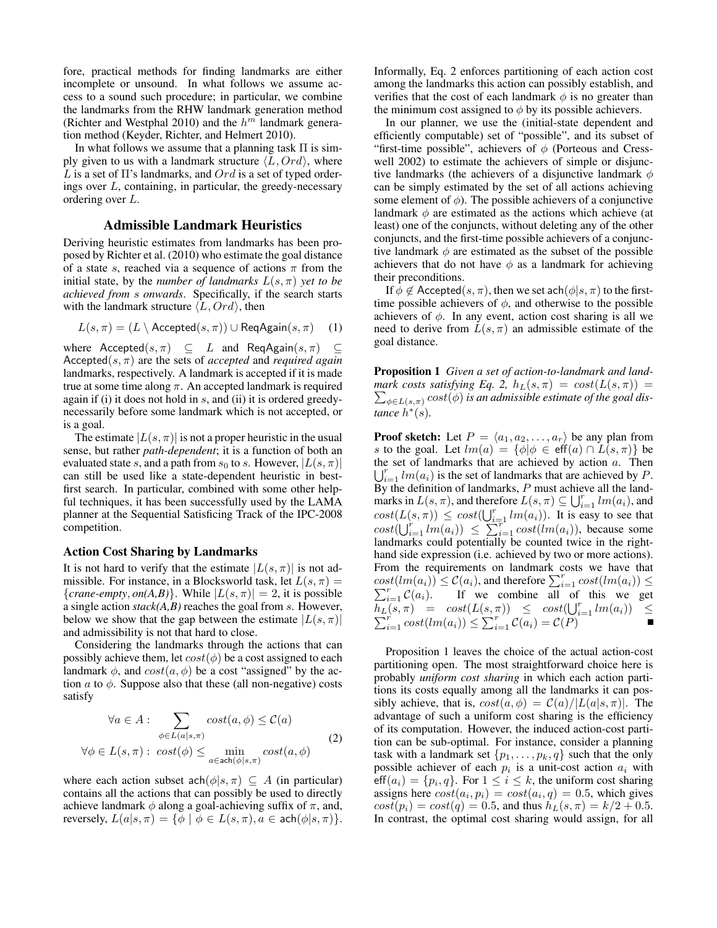fore, practical methods for finding landmarks are either incomplete or unsound. In what follows we assume access to a sound such procedure; in particular, we combine the landmarks from the RHW landmark generation method (Richter and Westphal 2010) and the  $h^{m}$  landmark generation method (Keyder, Richter, and Helmert 2010).

In what follows we assume that a planning task  $\Pi$  is simply given to us with a landmark structure  $\langle L, Ord \rangle$ , where L is a set of  $\Pi$ 's landmarks, and  $Ord$  is a set of typed orderings over L, containing, in particular, the greedy-necessary ordering over L.

## Admissible Landmark Heuristics

Deriving heuristic estimates from landmarks has been proposed by Richter et al. (2010) who estimate the goal distance of a state s, reached via a sequence of actions  $\pi$  from the initial state, by the *number of landmarks*  $L(s, \pi)$  *yet to be achieved from* s *onwards*. Specifically, if the search starts with the landmark structure  $\langle L, Ord \rangle$ , then

$$
L(s,\pi) = (L \setminus \text{Accepted}(s,\pi)) \cup \text{ReqAgain}(s,\pi) \quad (1)
$$

where  $\text{Accepted}(s, \pi) \subseteq L$  and  $\text{ReqAgain}(s, \pi) \subseteq$ Accepted(s, π) are the sets of *accepted* and *required again* landmarks, respectively. A landmark is accepted if it is made true at some time along  $\pi$ . An accepted landmark is required again if (i) it does not hold in  $s$ , and (ii) it is ordered greedynecessarily before some landmark which is not accepted, or is a goal.

The estimate  $|L(s, \pi)|$  is not a proper heuristic in the usual sense, but rather *path-dependent*; it is a function of both an evaluated state s, and a path from  $s_0$  to s. However,  $|L(s, \pi)|$ can still be used like a state-dependent heuristic in bestfirst search. In particular, combined with some other helpful techniques, it has been successfully used by the LAMA planner at the Sequential Satisficing Track of the IPC-2008 competition.

#### Action Cost Sharing by Landmarks

It is not hard to verify that the estimate  $|L(s, \pi)|$  is not admissible. For instance, in a Blocksworld task, let  $L(s, \pi) =$  ${c}$ *crane-empty, on*(*A,B*)}. While  $|L(s, \pi)| = 2$ , it is possible a single action *stack(A,B)* reaches the goal from s. However, below we show that the gap between the estimate  $|L(s, \pi)|$ and admissibility is not that hard to close.

Considering the landmarks through the actions that can possibly achieve them, let  $cost(\phi)$  be a cost assigned to each landmark  $\phi$ , and  $cost(a, \phi)$  be a cost "assigned" by the action  $a$  to  $\phi$ . Suppose also that these (all non-negative) costs satisfy

$$
\forall a \in A : \sum_{\phi \in L(a|s,\pi)} cost(a,\phi) \leq C(a)
$$
  

$$
\forall \phi \in L(s,\pi) : cost(\phi) \leq \min_{a \in \text{ach}(\phi|s,\pi)} cost(a,\phi)
$$
 (2)

where each action subset  $\text{ach}(\phi|s, \pi) \subseteq A$  (in particular) contains all the actions that can possibly be used to directly achieve landmark  $\phi$  along a goal-achieving suffix of  $\pi$ , and, reversely,  $L(a|s,\pi) = \{\phi \mid \phi \in L(s,\pi), a \in \operatorname{ach}(\phi|s,\pi)\}.$  Informally, Eq. 2 enforces partitioning of each action cost among the landmarks this action can possibly establish, and verifies that the cost of each landmark  $\phi$  is no greater than the minimum cost assigned to  $\phi$  by its possible achievers.

In our planner, we use the (initial-state dependent and efficiently computable) set of "possible", and its subset of "first-time possible", achievers of  $\phi$  (Porteous and Cresswell 2002) to estimate the achievers of simple or disjunctive landmarks (the achievers of a disjunctive landmark  $\phi$ can be simply estimated by the set of all actions achieving some element of  $\phi$ ). The possible achievers of a conjunctive landmark  $\phi$  are estimated as the actions which achieve (at least) one of the conjuncts, without deleting any of the other conjuncts, and the first-time possible achievers of a conjunctive landmark  $\phi$  are estimated as the subset of the possible achievers that do not have  $\phi$  as a landmark for achieving their preconditions.

If  $\phi \notin \text{Accepted}(s, \pi)$ , then we set ach $(\phi|s, \pi)$  to the firsttime possible achievers of  $\phi$ , and otherwise to the possible achievers of  $\phi$ . In any event, action cost sharing is all we need to derive from  $L(s, \pi)$  an admissible estimate of the goal distance.

Proposition 1 *Given a set of action-to-landmark and land-* $\sum_{\phi \in L(s,\pi)} cost(\phi)$  *is an admissible estimate of the goal dismark costs satisfying Eq. 2,*  $h_L(s, \pi) = cost(L(s, \pi))$ *tance*  $h^*(s)$ .

**Proof sketch:** Let  $P = \langle a_1, a_2, \ldots, a_r \rangle$  be any plan from s to the goal. Let  $lm(a) = \{\phi | \phi \in \text{eff}(a) \cap L(s, \pi)\}\$  $\bigcup_{i=1}^r lm(a_i)$  is the set of landmarks that are achieved by P. the set of landmarks that are achieved by action  $a$ . Then By the definition of landmarks, P must achieve all the landmarks in  $L(s, \pi)$ , and therefore  $L(s, \pi) \subseteq \bigcup_{i=1}^r lm(a_i)$ , and  $cost(L(s, \pi)) \leq cost(\bigcup_{i=1}^{r} lm(a_i)).$  It is easy to see that  $cost(\bigcup_{i=1}^r \lim_{i \to i} (a_i)) \leq \sum_{i=1}^{\infty} cost(lm(a_i))$ , because some landmarks could potentially be counted twice in the righthand side expression (i.e. achieved by two or more actions). From the requirements on landmark costs we have that  $cost(lm(a_i)) \leq C(a_i)$ , and therefore  $\sum_{i=1}^{r} cost(lm(a_i)) \leq$  $\sum_{i=1}^{r} C(a_i)$ . If we combine all of this we get  $h_L(s,\pi) = \text{cost}(L(s,\pi)) \leq \text{cost}(\bigcup_{i=1}^r \sum_{i=1}^r \text{cost}(lm(a_i)) \leq \sum_{i=1}^r \mathcal{C}(a_i) = \mathcal{C}(P)$  $\begin{array}{lcl} (s, \pi) & = & cost(L(s, \pi)) \leq & cost(\bigcup_{i=1}^{r}lm(a_i)) \leq \\ \frac{r}{i-1}cost(lm(a_i)) \leq \sum_{i=1}^{r}C(a_i) = \mathcal{C}(P) \end{array}$ 

Proposition 1 leaves the choice of the actual action-cost partitioning open. The most straightforward choice here is probably *uniform cost sharing* in which each action partitions its costs equally among all the landmarks it can possibly achieve, that is,  $cost(a, \phi) = C(a)/|L(a|s, \pi)|$ . The advantage of such a uniform cost sharing is the efficiency of its computation. However, the induced action-cost partition can be sub-optimal. For instance, consider a planning task with a landmark set  $\{p_1, \ldots, p_k, q\}$  such that the only possible achiever of each  $p_i$  is a unit-cost action  $a_i$  with  $\text{eff}(a_i) = \{p_i, q\}$ . For  $1 \leq i \leq k$ , the uniform cost sharing assigns here  $cost(a_i, p_i) = cost(a_i, q) = 0.5$ , which gives  $cost(p_i) = cost(q) = 0.5$ , and thus  $h_L(s, \pi) = k/2 + 0.5$ . In contrast, the optimal cost sharing would assign, for all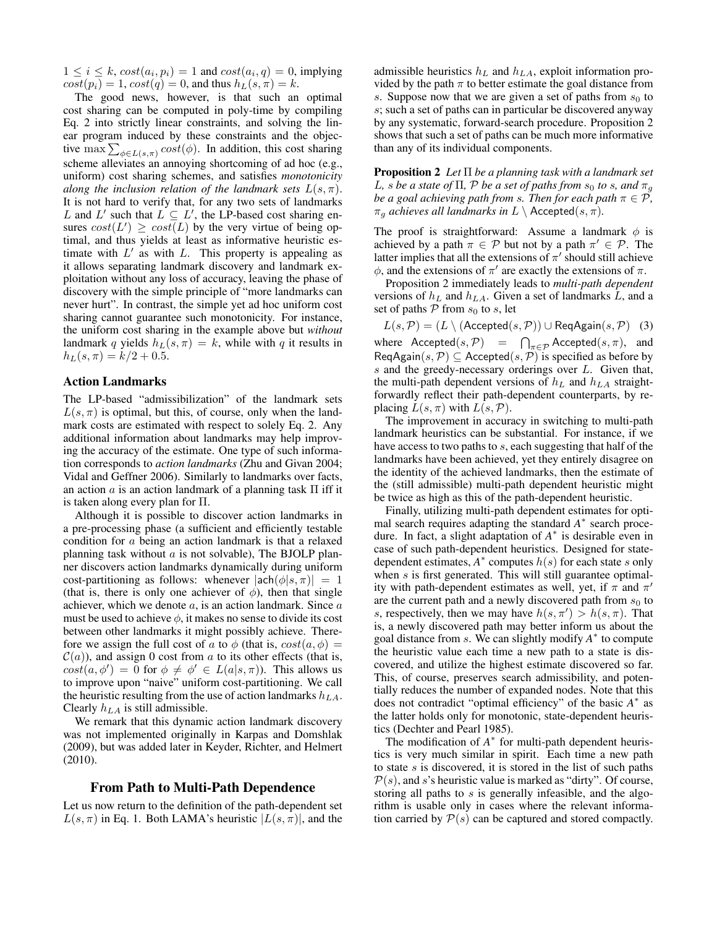$1 \leq i \leq k$ ,  $cost(a_i, p_i) = 1$  and  $cost(a_i, q) = 0$ , implying  $cost(p_i) = 1, cost(q) = 0$ , and thus  $h_L(s, \pi) = k$ .

The good news, however, is that such an optimal cost sharing can be computed in poly-time by compiling Eq. 2 into strictly linear constraints, and solving the linear program induced by these constraints and the objective max  $\sum_{\phi \in L(s,\pi)} cost(\phi)$ . In addition, this cost sharing scheme alleviates an annoying shortcoming of ad hoc (e.g., uniform) cost sharing schemes, and satisfies *monotonicity along the inclusion relation of the landmark sets*  $L(s, \pi)$ . It is not hard to verify that, for any two sets of landmarks L and L' such that  $L \subseteq L'$ , the LP-based cost sharing ensures  $cost(L') \ge cost(L)$  by the very virtue of being optimal, and thus yields at least as informative heuristic estimate with  $L'$  as with  $L$ . This property is appealing as it allows separating landmark discovery and landmark exploitation without any loss of accuracy, leaving the phase of discovery with the simple principle of "more landmarks can never hurt". In contrast, the simple yet ad hoc uniform cost sharing cannot guarantee such monotonicity. For instance, the uniform cost sharing in the example above but *without* landmark q yields  $h_L(s, \pi) = k$ , while with q it results in  $h_L(s, \pi) = k/2 + 0.5.$ 

## Action Landmarks

The LP-based "admissibilization" of the landmark sets  $L(s, \pi)$  is optimal, but this, of course, only when the landmark costs are estimated with respect to solely Eq. 2. Any additional information about landmarks may help improving the accuracy of the estimate. One type of such information corresponds to *action landmarks* (Zhu and Givan 2004; Vidal and Geffner 2006). Similarly to landmarks over facts, an action  $a$  is an action landmark of a planning task  $\Pi$  iff it is taken along every plan for Π.

Although it is possible to discover action landmarks in a pre-processing phase (a sufficient and efficiently testable condition for a being an action landmark is that a relaxed planning task without  $a$  is not solvable), The BJOLP planner discovers action landmarks dynamically during uniform cost-partitioning as follows: whenever  $|ach(\phi|s, \pi)| = 1$ (that is, there is only one achiever of  $\phi$ ), then that single achiever, which we denote  $a$ , is an action landmark. Since  $a$ must be used to achieve  $\phi$ , it makes no sense to divide its cost between other landmarks it might possibly achieve. Therefore we assign the full cost of a to  $\phi$  (that is,  $cost(a, \phi)$  =  $\mathcal{C}(a)$ ), and assign 0 cost from a to its other effects (that is,  $cost(a, \phi') = 0$  for  $\phi \neq \phi' \in L(a|s, \pi)$ ). This allows us to improve upon "naive" uniform cost-partitioning. We call the heuristic resulting from the use of action landmarks  $h_{LA}$ . Clearly  $h_{LA}$  is still admissible.

We remark that this dynamic action landmark discovery was not implemented originally in Karpas and Domshlak (2009), but was added later in Keyder, Richter, and Helmert (2010).

### From Path to Multi-Path Dependence

Let us now return to the definition of the path-dependent set  $L(s, \pi)$  in Eq. 1. Both LAMA's heuristic  $|L(s, \pi)|$ , and the

admissible heuristics  $h<sub>L</sub>$  and  $h<sub>LA</sub>$ , exploit information provided by the path  $\pi$  to better estimate the goal distance from s. Suppose now that we are given a set of paths from  $s_0$  to s; such a set of paths can in particular be discovered anyway by any systematic, forward-search procedure. Proposition 2 shows that such a set of paths can be much more informative than any of its individual components.

Proposition 2 *Let* Π *be a planning task with a landmark set* L, *s* be a state of  $\Pi$ ,  $P$  be a set of paths from  $s_0$  to *s*, and  $\pi_q$ *be a goal achieving path from s. Then for each path*  $\pi \in \mathcal{P}$ *,*  $\pi_q$  *achieves all landmarks in*  $L \setminus$  Accepted $(s, \pi)$ .

The proof is straightforward: Assume a landmark  $\phi$  is achieved by a path  $\pi \in \mathcal{P}$  but not by a path  $\pi' \in \mathcal{P}$ . The latter implies that all the extensions of  $\pi'$  should still achieve  $\phi$ , and the extensions of  $\pi'$  are exactly the extensions of  $\pi$ .

Proposition 2 immediately leads to *multi-path dependent* versions of  $h_L$  and  $h_{LA}$ . Given a set of landmarks L, and a set of paths  $P$  from  $s_0$  to  $s$ , let

 $L(s, \mathcal{P}) = (L \setminus (Accepted(s, \mathcal{P})) \cup ReqAgain(s, \mathcal{P})$  (3) where  $\text{Accepted}(s, \mathcal{P}) = \bigcap_{\pi \in \mathcal{P}} \text{Accepted}(s, \pi)$ , and  $\mathsf{ReqAgain}(s, \mathcal{P}) \subseteq \mathsf{Accepted}(s, \mathcal{P})$  is specified as before by s and the greedy-necessary orderings over L. Given that, the multi-path dependent versions of  $h<sub>L</sub>$  and  $h<sub>LA</sub>$  straightforwardly reflect their path-dependent counterparts, by replacing  $L(s, \pi)$  with  $L(s, \mathcal{P})$ .

The improvement in accuracy in switching to multi-path landmark heuristics can be substantial. For instance, if we have access to two paths to s, each suggesting that half of the landmarks have been achieved, yet they entirely disagree on the identity of the achieved landmarks, then the estimate of the (still admissible) multi-path dependent heuristic might be twice as high as this of the path-dependent heuristic.

Finally, utilizing multi-path dependent estimates for optimal search requires adapting the standard *A*<sup>∗</sup> search procedure. In fact, a slight adaptation of *A* ∗ is desirable even in case of such path-dependent heuristics. Designed for statedependent estimates,  $A^*$  computes  $h(s)$  for each state s only when s is first generated. This will still guarantee optimality with path-dependent estimates as well, yet, if  $\pi$  and  $\pi'$ are the current path and a newly discovered path from  $s_0$  to s, respectively, then we may have  $h(s, \pi') > h(s, \pi)$ . That is, a newly discovered path may better inform us about the goal distance from s. We can slightly modify  $A^*$  to compute the heuristic value each time a new path to a state is discovered, and utilize the highest estimate discovered so far. This, of course, preserves search admissibility, and potentially reduces the number of expanded nodes. Note that this does not contradict "optimal efficiency" of the basic *A* ∗ as the latter holds only for monotonic, state-dependent heuristics (Dechter and Pearl 1985).

The modification of *A*<sup>∗</sup> for multi-path dependent heuristics is very much similar in spirit. Each time a new path to state s is discovered, it is stored in the list of such paths  $P(s)$ , and s's heuristic value is marked as "dirty". Of course, storing all paths to s is generally infeasible, and the algorithm is usable only in cases where the relevant information carried by  $P(s)$  can be captured and stored compactly.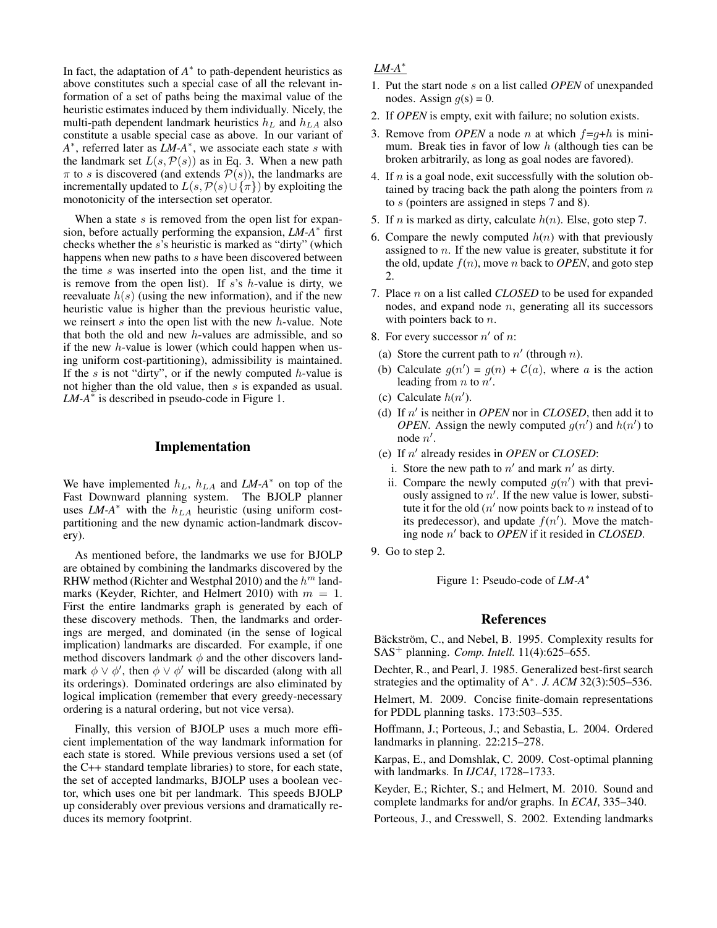In fact, the adaptation of  $A^*$  to path-dependent heuristics as above constitutes such a special case of all the relevant information of a set of paths being the maximal value of the heuristic estimates induced by them individually. Nicely, the multi-path dependent landmark heuristics  $h<sub>L</sub>$  and  $h<sub>LA</sub>$  also constitute a usable special case as above. In our variant of *A*<sup>∗</sup>, referred later as *LM-A*<sup>∗</sup>, we associate each state *s* with the landmark set  $L(s, \mathcal{P}(s))$  as in Eq. 3. When a new path  $\pi$  to s is discovered (and extends  $\mathcal{P}(s)$ ), the landmarks are incrementally updated to  $L(s, \mathcal{P}(s) \cup {\lbrace \pi \rbrace})$  by exploiting the monotonicity of the intersection set operator.

When a state  $s$  is removed from the open list for expansion, before actually performing the expansion, *LM-A*<sup>∗</sup> first checks whether the s's heuristic is marked as "dirty" (which happens when new paths to s have been discovered between the time s was inserted into the open list, and the time it is remove from the open list). If  $s$ 's  $h$ -value is dirty, we reevaluate  $h(s)$  (using the new information), and if the new heuristic value is higher than the previous heuristic value, we reinsert  $s$  into the open list with the new  $h$ -value. Note that both the old and new h-values are admissible, and so if the new  $h$ -value is lower (which could happen when using uniform cost-partitioning), admissibility is maintained. If the s is not "dirty", or if the newly computed  $h$ -value is not higher than the old value, then s is expanded as usual.  $LM-A^*$  is described in pseudo-code in Figure 1.

## Implementation

We have implemented  $h_L$ ,  $h_{LA}$  and  $LM-A^*$  on top of the Fast Downward planning system. The BJOLP planner uses *LM-A*<sup>\*</sup> with the  $h_{LA}$  heuristic (using uniform costpartitioning and the new dynamic action-landmark discovery).

As mentioned before, the landmarks we use for BJOLP are obtained by combining the landmarks discovered by the RHW method (Richter and Westphal 2010) and the  $h^m$  landmarks (Keyder, Richter, and Helmert 2010) with  $m = 1$ . First the entire landmarks graph is generated by each of these discovery methods. Then, the landmarks and orderings are merged, and dominated (in the sense of logical implication) landmarks are discarded. For example, if one method discovers landmark  $\phi$  and the other discovers landmark  $\phi \lor \phi'$ , then  $\phi \lor \phi'$  will be discarded (along with all its orderings). Dominated orderings are also eliminated by logical implication (remember that every greedy-necessary ordering is a natural ordering, but not vice versa).

Finally, this version of BJOLP uses a much more efficient implementation of the way landmark information for each state is stored. While previous versions used a set (of the C++ standard template libraries) to store, for each state, the set of accepted landmarks, BJOLP uses a boolean vector, which uses one bit per landmark. This speeds BJOLP up considerably over previous versions and dramatically reduces its memory footprint.

## *LM-A*<sup>∗</sup>

- 1. Put the start node s on a list called *OPEN* of unexpanded nodes. Assign  $q(s) = 0$ .
- 2. If *OPEN* is empty, exit with failure; no solution exists.
- 3. Remove from *OPEN* a node *n* at which  $f = q+h$  is minimum. Break ties in favor of low  $h$  (although ties can be broken arbitrarily, as long as goal nodes are favored).
- 4. If  $n$  is a goal node, exit successfully with the solution obtained by tracing back the path along the pointers from  $n$ to s (pointers are assigned in steps 7 and 8).
- 5. If *n* is marked as dirty, calculate  $h(n)$ . Else, goto step 7.
- 6. Compare the newly computed  $h(n)$  with that previously assigned to n. If the new value is greater, substitute it for the old, update  $f(n)$ , move n back to *OPEN*, and goto step 2.
- 7. Place n on a list called *CLOSED* to be used for expanded nodes, and expand node  $n$ , generating all its successors with pointers back to *n*.
- 8. For every successor  $n'$  of  $n$ :
- (a) Store the current path to  $n'$  (through n).
- (b) Calculate  $g(n') = g(n) + C(a)$ , where a is the action leading from *n* to  $n'$ .
- (c) Calculate  $h(n')$ .
- (d) If  $n'$  is neither in *OPEN* nor in *CLOSED*, then add it to *OPEN*. Assign the newly computed  $g(n')$  and  $h(n')$  to node  $n'$ .
- (e) If  $n'$  already resides in *OPEN* or *CLOSED*:
	- i. Store the new path to  $n'$  and mark  $n'$  as dirty.
	- ii. Compare the newly computed  $g(n')$  with that previously assigned to  $n'$ . If the new value is lower, substitute it for the old  $(n'$  now points back to n instead of to its predecessor), and update  $f(n')$ . Move the matching node n <sup>0</sup> back to *OPEN* if it resided in *CLOSED*.
- 9. Go to step 2.

Figure 1: Pseudo-code of *LM-A*<sup>∗</sup>

#### References

Bäckström, C., and Nebel, B. 1995. Complexity results for SAS<sup>+</sup> planning. *Comp. Intell.* 11(4):625–655.

Dechter, R., and Pearl, J. 1985. Generalized best-first search strategies and the optimality of A<sup>∗</sup> . *J. ACM* 32(3):505–536.

Helmert, M. 2009. Concise finite-domain representations for PDDL planning tasks. 173:503–535.

Hoffmann, J.; Porteous, J.; and Sebastia, L. 2004. Ordered landmarks in planning. 22:215–278.

Karpas, E., and Domshlak, C. 2009. Cost-optimal planning with landmarks. In *IJCAI*, 1728–1733.

Keyder, E.; Richter, S.; and Helmert, M. 2010. Sound and complete landmarks for and/or graphs. In *ECAI*, 335–340.

Porteous, J., and Cresswell, S. 2002. Extending landmarks